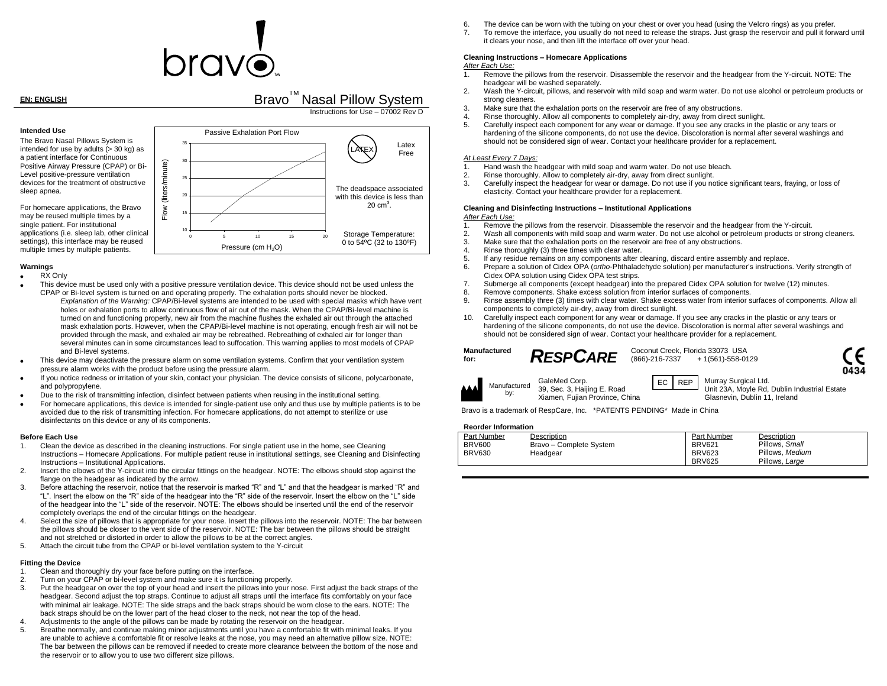# $\mathsf{or}\hspace{0.5pt}\mathsf{or}\hspace{0.5pt}\dot{\mathsf{c}}$

**EN: ENGLISH** BRAVO<sup>TM</sup> Nasal Pillow System Instructions for Use – 07002 Rev D



#### **Warnings**

RX Only

sleep apnea.

- This device must be used only with a positive pressure ventilation device. This device should not be used unless the CPAP or Bi-level system is turned on and operating properly. The exhalation ports should never be blocked. *Explanation of the Warning:* CPAP/Bi-level systems are intended to be used with special masks which have vent holes or exhalation ports to allow continuous flow of air out of the mask. When the CPAP/Bi-level machine is turned on and functioning properly, new air from the machine flushes the exhaled air out through the attached mask exhalation ports. However, when the CPAP/Bi-level machine is not operating, enough fresh air will not be provided through the mask, and exhaled air may be rebreathed. Rebreathing of exhaled air for longer than several minutes can in some circumstances lead to suffocation. This warning applies to most models of CPAP and Bi-level systems.
- This device may deactivate the pressure alarm on some ventilation systems. Confirm that your ventilation system pressure alarm works with the product before using the pressure alarm.
- If you notice redness or irritation of your skin, contact your physician. The device consists of silicone, polycarbonate, and polypropylene.
- Due to the risk of transmitting infection, disinfect between patients when reusing in the institutional setting.
- For homecare applications, this device is intended for single-patient use only and thus use by multiple patients is to be avoided due to the risk of transmitting infection. For homecare applications, do not attempt to sterilize or use disinfectants on this device or any of its components.

#### **Before Each Use**

- 1. Clean the device as described in the cleaning instructions. For single patient use in the home, see Cleaning Instructions – Homecare Applications. For multiple patient reuse in institutional settings, see Cleaning and Disinfecting Instructions – Institutional Applications.
- 2. Insert the elbows of the Y-circuit into the circular fittings on the headgear. NOTE: The elbows should stop against the flange on the headgear as indicated by the arrow.
- 3. Before attaching the reservoir, notice that the reservoir is marked "R" and "L" and that the headgear is marked "R" and "L". Insert the elbow on the "R" side of the headgear into the "R" side of the reservoir. Insert the elbow on the "L" side of the headgear into the "L" side of the reservoir. NOTE: The elbows should be inserted until the end of the reservoir completely overlaps the end of the circular fittings on the headgear.
- 4. Select the size of pillows that is appropriate for your nose. Insert the pillows into the reservoir. NOTE: The bar between the pillows should be closer to the vent side of the reservoir. NOTE: The bar between the pillows should be straight and not stretched or distorted in order to allow the pillows to be at the correct angles.
- 5. Attach the circuit tube from the CPAP or bi-level ventilation system to the Y-circuit

#### **Fitting the Device**

- 1. Clean and thoroughly dry your face before putting on the interface.
- 2. Turn on your CPAP or bi-level system and make sure it is functioning properly.
- 3. Put the headgear on over the top of your head and insert the pillows into your nose. First adjust the back straps of the headgear. Second adjust the top straps. Continue to adjust all straps until the interface fits comfortably on your face with minimal air leakage. NOTE: The side straps and the back straps should be worn close to the ears. NOTE: The back straps should be on the lower part of the head closer to the neck, not near the top of the head.
- 4. Adjustments to the angle of the pillows can be made by rotating the reservoir on the headgear.
- 5. Breathe normally, and continue making minor adjustments until you have a comfortable fit with minimal leaks. If you are unable to achieve a comfortable fit or resolve leaks at the nose, you may need an alternative pillow size. NOTE: The bar between the pillows can be removed if needed to create more clearance between the bottom of the nose and the reservoir or to allow you to use two different size pillows.
- 6. The device can be worn with the tubing on your chest or over you head (using the Velcro rings) as you prefer.
- 7. To remove the interface, you usually do not need to release the straps. Just grasp the reservoir and pull it forward until it clears your nose, and then lift the interface off over your head.

### **Cleaning Instructions – Homecare Applications**

#### *After Each Use:*

- 1. Remove the pillows from the reservoir. Disassemble the reservoir and the headgear from the Y-circuit. NOTE: The headgear will be washed separately.
- 2. Wash the Y-circuit, pillows, and reservoir with mild soap and warm water. Do not use alcohol or petroleum products or strong cleaners.
- 3. Make sure that the exhalation ports on the reservoir are free of any obstructions.
- 4. Rinse thoroughly. Allow all components to completely air-dry, away from direct sunlight.
- 5. Carefully inspect each component for any wear or damage. If you see any cracks in the plastic or any tears or hardening of the silicone components, do not use the device. Discoloration is normal after several washings and should not be considered sign of wear. Contact your healthcare provider for a replacement.

#### *At Least Every 7 Days:*

- 1. Hand wash the headgear with mild soap and warm water. Do not use bleach.<br>2. Binse thoroughly, Allow to completely air-dry, away from direct suplight
- 2. Rinse thoroughly. Allow to completely air-dry, away from direct sunlight.<br>3. Carefully inspect the headgear for wear or damage. Do not use if you not
- 3. Carefully inspect the headgear for wear or damage. Do not use if you notice significant tears, fraying, or loss of elasticity. Contact your healthcare provider for a replacement.

#### **Cleaning and Disinfecting Instructions – Institutional Applications**

#### *After Each Use:*

- 1. Remove the pillows from the reservoir. Disassemble the reservoir and the headgear from the Y-circuit.
- 2. Wash all components with mild soap and warm water. Do not use alcohol or petroleum products or strong cleaners.
- 3. Make sure that the exhalation ports on the reservoir are free of any obstructions.
- 4. Rinse thoroughly (3) three times with clear water.<br>5. If any residue remains on any components after c

GaleMed Corp.

- 5. If any residue remains on any components after cleaning, discard entire assembly and replace.
- 6. Prepare a solution of Cidex OPA (*ortho*-Phthaladehyde solution) per manufacturer's instructions. Verify strength of Cidex OPA solution using Cidex OPA test strips.
- 7. Submerge all components (except headgear) into the prepared Cidex OPA solution for twelve (12) minutes.
- 8. Remove components. Shake excess solution from interior surfaces of components.
- 9. Rinse assembly three (3) times with clear water. Shake excess water from interior surfaces of components. Allow all components to completely air-dry, away from direct sunlight.
- 10. Carefully inspect each component for any wear or damage. If you see any cracks in the plastic or any tears or hardening of the silicone components, do not use the device. Discoloration is normal after several washings and should not be considered sign of wear. Contact your healthcare provider for a replacement.

## **Manufactured**

**for:** *RESPCARE* Coconut Creek, Florida 33073 USA<br>(866)-216-7337 + 1(561)-558-01 + 1(561)-558-0129





39, Sec. 3, Haijing E. Road EC REP Murray Surgical Ltd.

Unit 23A, Moyle Rd, Dublin Industrial Estate Glasnevin, Dublin 11, Ireland

Xiamen, Fujian Province, China Bravo is a trademark of RespCare, Inc. \*PATENTS PENDING\* Made in China

#### **Reorder Information**

| Part Number   | Description             | Part Number   | Description     |
|---------------|-------------------------|---------------|-----------------|
| <b>BRV600</b> | Bravo - Complete System | <b>BRV621</b> | Pillows, Small  |
| <b>BRV630</b> | Headgear                | <b>BRV623</b> | Pillows, Medium |
|               |                         | <b>BRV625</b> | Pillows, Large  |